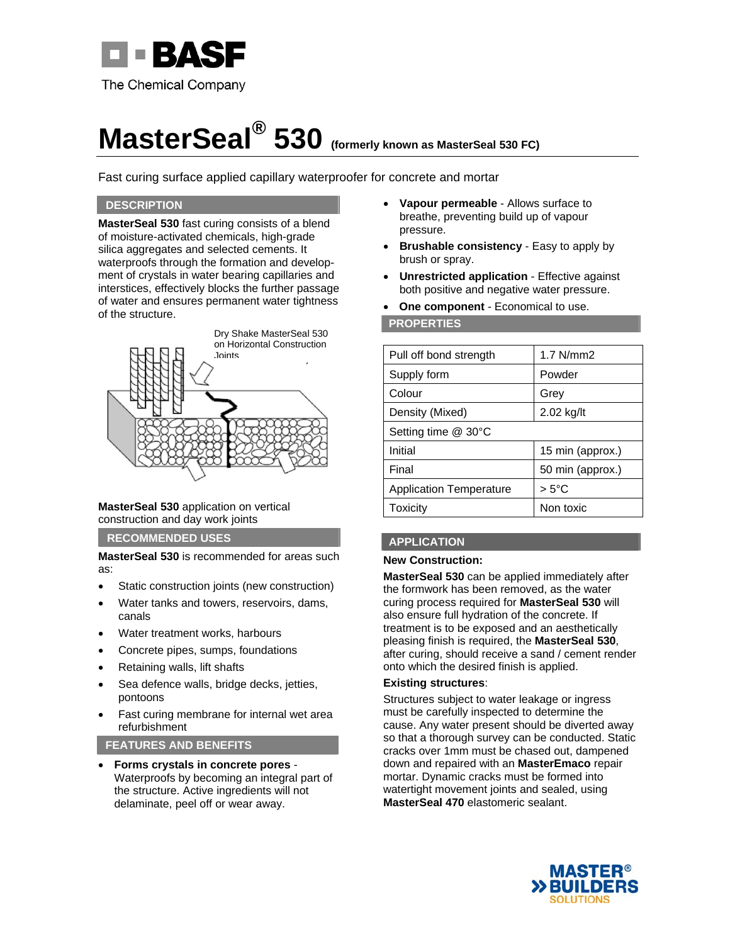

# **MasterSeal® 530 (formerly known as MasterSeal 530 FC)**

Fast curing surface applied capillary waterproofer for concrete and mortar

### **DESCRIPTION**

**MasterSeal 530** fast curing consists of a blend of moisture-activated chemicals, high-grade silica aggregates and selected cements. It waterproofs through the formation and development of crystals in water bearing capillaries and interstices, effectively blocks the further passage of water and ensures permanent water tightness of the structure.



#### **MasterSeal 530** application on vertical construction and day work joints

**RECOMMENDED USES** 

**MasterSeal 530** is recommended for areas such as:

- Static construction joints (new construction)
- Water tanks and towers, reservoirs, dams, canals
- Water treatment works, harbours
- Concrete pipes, sumps, foundations
- Retaining walls, lift shafts
- Sea defence walls, bridge decks, jetties, pontoons
- Fast curing membrane for internal wet area refurbishment

**FEATURES AND BENEFITS** 

 **Forms crystals in concrete pores** - Waterproofs by becoming an integral part of the structure. Active ingredients will not delaminate, peel off or wear away.

- **Vapour permeable** Allows surface to breathe, preventing build up of vapour pressure.
- **Brushable consistency** Easy to apply by brush or spray.
- **Unrestricted application** Effective against both positive and negative water pressure.
- **One component** Economical to use.

#### **PROPERTIES**

| Pull off bond strength         | $1.7$ N/mm $2$   |  |
|--------------------------------|------------------|--|
| Supply form                    | Powder           |  |
| Colour                         | Grey             |  |
| Density (Mixed)                | 2.02 kg/lt       |  |
| Setting time @ 30°C            |                  |  |
| Initial                        | 15 min (approx.) |  |
| Final                          | 50 min (approx.) |  |
| <b>Application Temperature</b> | $> 5^{\circ}$ C  |  |
| Toxicity                       | Non toxic        |  |

# **APPLICATION**

#### **New Construction:**

**MasterSeal 530** can be applied immediately after the formwork has been removed, as the water curing process required for **MasterSeal 530** will also ensure full hydration of the concrete. If treatment is to be exposed and an aesthetically pleasing finish is required, the **MasterSeal 530**, after curing, should receive a sand / cement render onto which the desired finish is applied.

#### **Existing structures**:

Structures subject to water leakage or ingress must be carefully inspected to determine the cause. Any water present should be diverted away so that a thorough survey can be conducted. Static cracks over 1mm must be chased out, dampened down and repaired with an **MasterEmaco** repair mortar. Dynamic cracks must be formed into watertight movement joints and sealed, using **MasterSeal 470** elastomeric sealant.